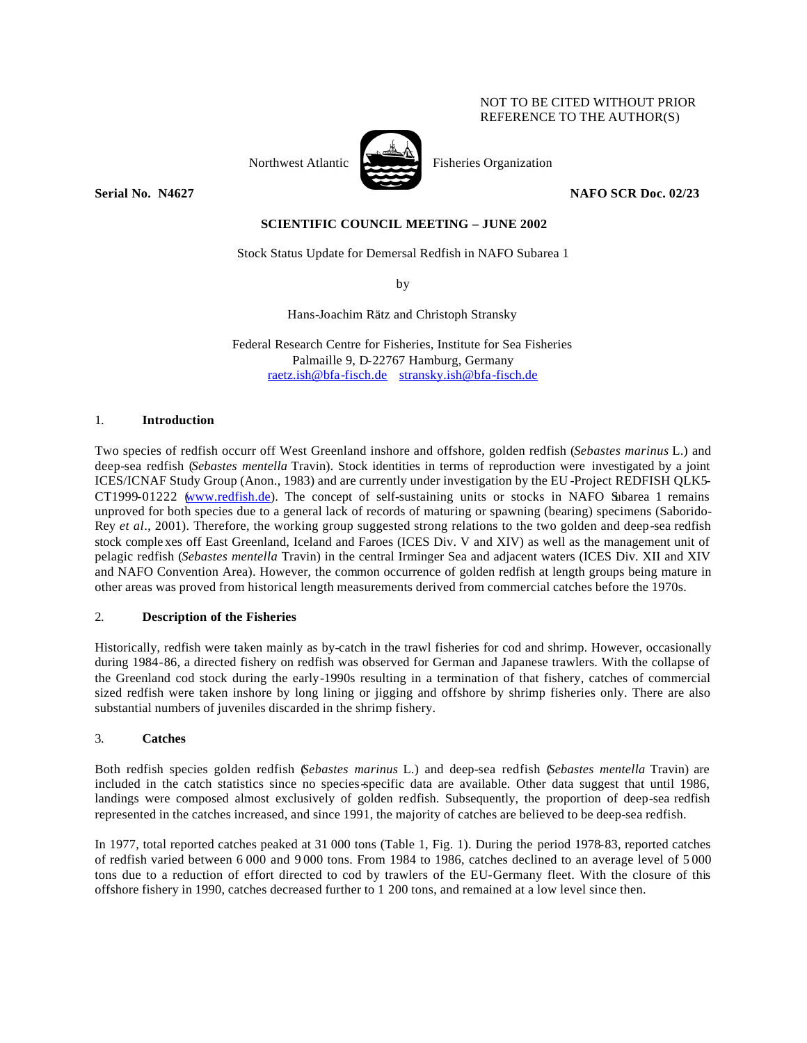# NOT TO BE CITED WITHOUT PRIOR REFERENCE TO THE AUTHOR(S)



Northwest Atlantic Fisheries Organization

**Serial No. 184627 NAFO SCR Doc. 02/23** 

# **SCIENTIFIC COUNCIL MEETING – JUNE 2002**

Stock Status Update for Demersal Redfish in NAFO Subarea 1

by

Hans-Joachim Rätz and Christoph Stransky

Federal Research Centre for Fisheries, Institute for Sea Fisheries Palmaille 9, D-22767 Hamburg, Germany raetz.ish@bfa-fisch.de stransky.ish@bfa-fisch.de

#### 1. **Introduction**

Two species of redfish occurr off West Greenland inshore and offshore, golden redfish (*Sebastes marinus* L.) and deep-sea redfish (*Sebastes mentella* Travin). Stock identities in terms of reproduction were investigated by a joint ICES/ICNAF Study Group (Anon., 1983) and are currently under investigation by the EU -Project REDFISH QLK5- CT1999-01222 (www.redfish.de). The concept of self-sustaining units or stocks in NAFO Subarea 1 remains unproved for both species due to a general lack of records of maturing or spawning (bearing) specimens (Saborido-Rey *et al*., 2001). Therefore, the working group suggested strong relations to the two golden and deep-sea redfish stock comple xes off East Greenland, Iceland and Faroes (ICES Div. V and XIV) as well as the management unit of pelagic redfish (*Sebastes mentella* Travin) in the central Irminger Sea and adjacent waters (ICES Div. XII and XIV and NAFO Convention Area). However, the common occurrence of golden redfish at length groups being mature in other areas was proved from historical length measurements derived from commercial catches before the 1970s.

## 2. **Description of the Fisheries**

Historically, redfish were taken mainly as by-catch in the trawl fisheries for cod and shrimp. However, occasionally during 1984-86, a directed fishery on redfish was observed for German and Japanese trawlers. With the collapse of the Greenland cod stock during the early-1990s resulting in a termination of that fishery, catches of commercial sized redfish were taken inshore by long lining or jigging and offshore by shrimp fisheries only. There are also substantial numbers of juveniles discarded in the shrimp fishery.

# 3. **Catches**

Both redfish species golden redfish (*Sebastes marinus* L.) and deep-sea redfish (*Sebastes mentella* Travin) are included in the catch statistics since no species-specific data are available. Other data suggest that until 1986, landings were composed almost exclusively of golden redfish. Subsequently, the proportion of deep-sea redfish represented in the catches increased, and since 1991, the majority of catches are believed to be deep-sea redfish.

In 1977, total reported catches peaked at 31 000 tons (Table 1, Fig. 1). During the period 1978-83, reported catches of redfish varied between 6 000 and 9 000 tons. From 1984 to 1986, catches declined to an average level of 5 000 tons due to a reduction of effort directed to cod by trawlers of the EU-Germany fleet. With the closure of this offshore fishery in 1990, catches decreased further to 1 200 tons, and remained at a low level since then.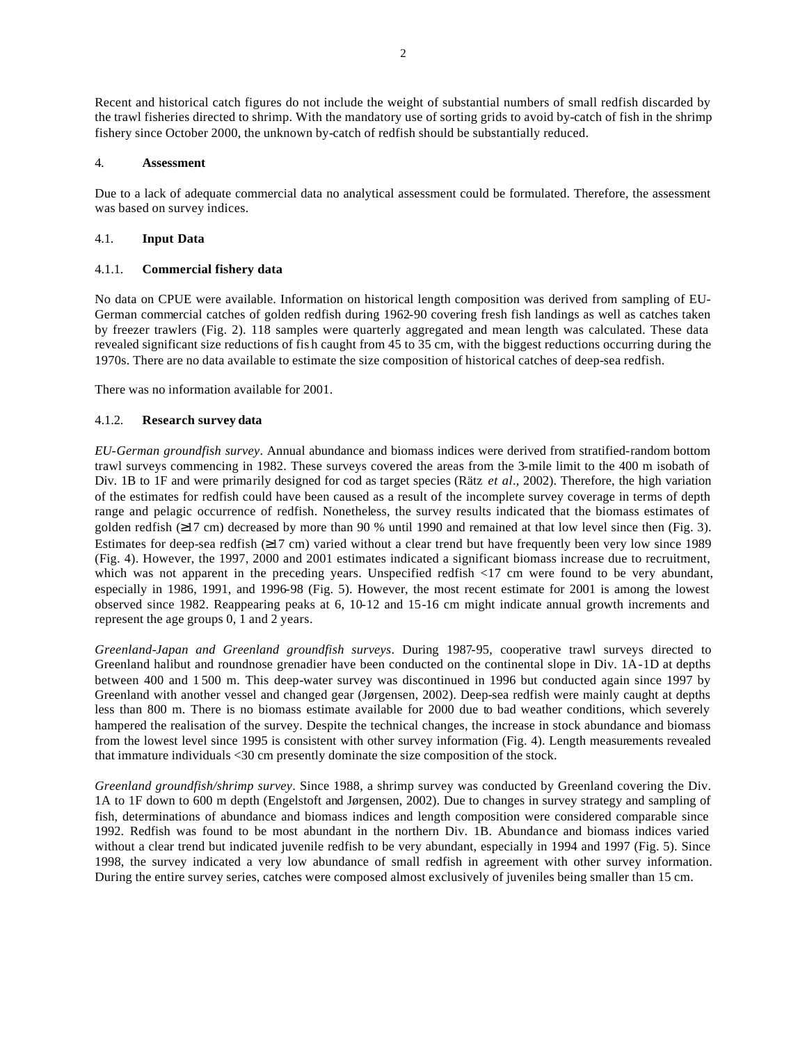Recent and historical catch figures do not include the weight of substantial numbers of small redfish discarded by the trawl fisheries directed to shrimp. With the mandatory use of sorting grids to avoid by-catch of fish in the shrimp fishery since October 2000, the unknown by-catch of redfish should be substantially reduced.

## 4. **Assessment**

Due to a lack of adequate commercial data no analytical assessment could be formulated. Therefore, the assessment was based on survey indices.

## 4.1. **Input Data**

# 4.1.1. **Commercial fishery data**

No data on CPUE were available. Information on historical length composition was derived from sampling of EU-German commercial catches of golden redfish during 1962-90 covering fresh fish landings as well as catches taken by freezer trawlers (Fig. 2). 118 samples were quarterly aggregated and mean length was calculated. These data revealed significant size reductions of fis h caught from 45 to 35 cm, with the biggest reductions occurring during the 1970s. There are no data available to estimate the size composition of historical catches of deep-sea redfish.

There was no information available for 2001.

# 4.1.2. **Research survey data**

*EU-German groundfish survey*. Annual abundance and biomass indices were derived from stratified-random bottom trawl surveys commencing in 1982. These surveys covered the areas from the 3-mile limit to the 400 m isobath of Div. 1B to 1F and were primarily designed for cod as target species (Rätz *et al*., 2002). Therefore, the high variation of the estimates for redfish could have been caused as a result of the incomplete survey coverage in terms of depth range and pelagic occurrence of redfish. Nonetheless, the survey results indicated that the biomass estimates of golden redfish (≥17 cm) decreased by more than 90 % until 1990 and remained at that low level since then (Fig. 3). Estimates for deep-sea redfish (≥17 cm) varied without a clear trend but have frequently been very low since 1989 (Fig. 4). However, the 1997, 2000 and 2001 estimates indicated a significant biomass increase due to recruitment, which was not apparent in the preceding years. Unspecified redfish <17 cm were found to be very abundant, especially in 1986, 1991, and 1996-98 (Fig. 5). However, the most recent estimate for 2001 is among the lowest observed since 1982. Reappearing peaks at 6, 10-12 and 15-16 cm might indicate annual growth increments and represent the age groups 0, 1 and 2 years.

*Greenland-Japan and Greenland groundfish surveys*. During 1987-95, cooperative trawl surveys directed to Greenland halibut and roundnose grenadier have been conducted on the continental slope in Div. 1A-1D at depths between 400 and 1 500 m. This deep-water survey was discontinued in 1996 but conducted again since 1997 by Greenland with another vessel and changed gear (Jørgensen, 2002). Deep-sea redfish were mainly caught at depths less than 800 m. There is no biomass estimate available for 2000 due to bad weather conditions, which severely hampered the realisation of the survey. Despite the technical changes, the increase in stock abundance and biomass from the lowest level since 1995 is consistent with other survey information (Fig. 4). Length measurements revealed that immature individuals <30 cm presently dominate the size composition of the stock.

*Greenland groundfish/shrimp survey*. Since 1988, a shrimp survey was conducted by Greenland covering the Div. 1A to 1F down to 600 m depth (Engelstoft and Jørgensen, 2002). Due to changes in survey strategy and sampling of fish, determinations of abundance and biomass indices and length composition were considered comparable since 1992. Redfish was found to be most abundant in the northern Div. 1B. Abundance and biomass indices varied without a clear trend but indicated juvenile redfish to be very abundant, especially in 1994 and 1997 (Fig. 5). Since 1998, the survey indicated a very low abundance of small redfish in agreement with other survey information. During the entire survey series, catches were composed almost exclusively of juveniles being smaller than 15 cm.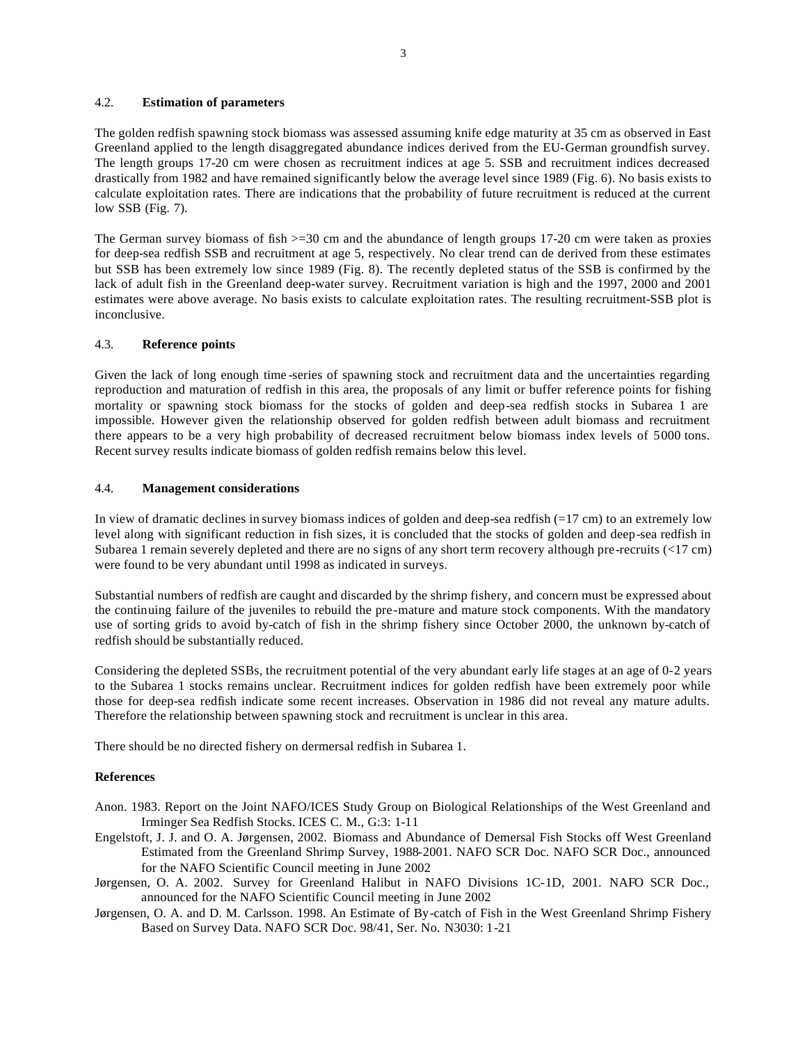#### 4.2. **Estimation of parameters**

The golden redfish spawning stock biomass was assessed assuming knife edge maturity at 35 cm as observed in East Greenland applied to the length disaggregated abundance indices derived from the EU-German groundfish survey. The length groups 17-20 cm were chosen as recruitment indices at age 5. SSB and recruitment indices decreased drastically from 1982 and have remained significantly below the average level since 1989 (Fig. 6). No basis exists to calculate exploitation rates. There are indications that the probability of future recruitment is reduced at the current low SSB (Fig. 7).

The German survey biomass of fish  $>=$  30 cm and the abundance of length groups 17-20 cm were taken as proxies for deep-sea redfish SSB and recruitment at age 5, respectively. No clear trend can de derived from these estimates but SSB has been extremely low since 1989 (Fig. 8). The recently depleted status of the SSB is confirmed by the lack of adult fish in the Greenland deep-water survey. Recruitment variation is high and the 1997, 2000 and 2001 estimates were above average. No basis exists to calculate exploitation rates. The resulting recruitment-SSB plot is inconclusive.

#### 4.3. **Reference points**

Given the lack of long enough time -series of spawning stock and recruitment data and the uncertainties regarding reproduction and maturation of redfish in this area, the proposals of any limit or buffer reference points for fishing mortality or spawning stock biomass for the stocks of golden and deep-sea redfish stocks in Subarea 1 are impossible. However given the relationship observed for golden redfish between adult biomass and recruitment there appears to be a very high probability of decreased recruitment below biomass index levels of 5000 tons. Recent survey results indicate biomass of golden redfish remains below this level.

#### 4.4. **Management considerations**

In view of dramatic declines in survey biomass indices of golden and deep-sea redfish (=17 cm) to an extremely low level along with significant reduction in fish sizes, it is concluded that the stocks of golden and deep-sea redfish in Subarea 1 remain severely depleted and there are no signs of any short term recovery although pre-recruits (<17 cm) were found to be very abundant until 1998 as indicated in surveys.

Substantial numbers of redfish are caught and discarded by the shrimp fishery, and concern must be expressed about the continuing failure of the juveniles to rebuild the pre-mature and mature stock components. With the mandatory use of sorting grids to avoid by-catch of fish in the shrimp fishery since October 2000, the unknown by-catch of redfish should be substantially reduced.

Considering the depleted SSBs, the recruitment potential of the very abundant early life stages at an age of 0-2 years to the Subarea 1 stocks remains unclear. Recruitment indices for golden redfish have been extremely poor while those for deep-sea redfish indicate some recent increases. Observation in 1986 did not reveal any mature adults. Therefore the relationship between spawning stock and recruitment is unclear in this area.

There should be no directed fishery on dermersal redfish in Subarea 1.

#### **References**

- Anon. 1983. Report on the Joint NAFO/ICES Study Group on Biological Relationships of the West Greenland and Irminger Sea Redfish Stocks. ICES C. M., G:3: 1-11
- Engelstoft, J. J. and O. A. Jørgensen, 2002. Biomass and Abundance of Demersal Fish Stocks off West Greenland Estimated from the Greenland Shrimp Survey, 1988-2001. NAFO SCR Doc. NAFO SCR Doc., announced for the NAFO Scientific Council meeting in June 2002
- Jørgensen, O. A. 2002. Survey for Greenland Halibut in NAFO Divisions 1C-1D, 2001. NAFO SCR Doc., announced for the NAFO Scientific Council meeting in June 2002
- Jørgensen, O. A. and D. M. Carlsson. 1998. An Estimate of By-catch of Fish in the West Greenland Shrimp Fishery Based on Survey Data. NAFO SCR Doc. 98/41, Ser. No. N3030: 1-21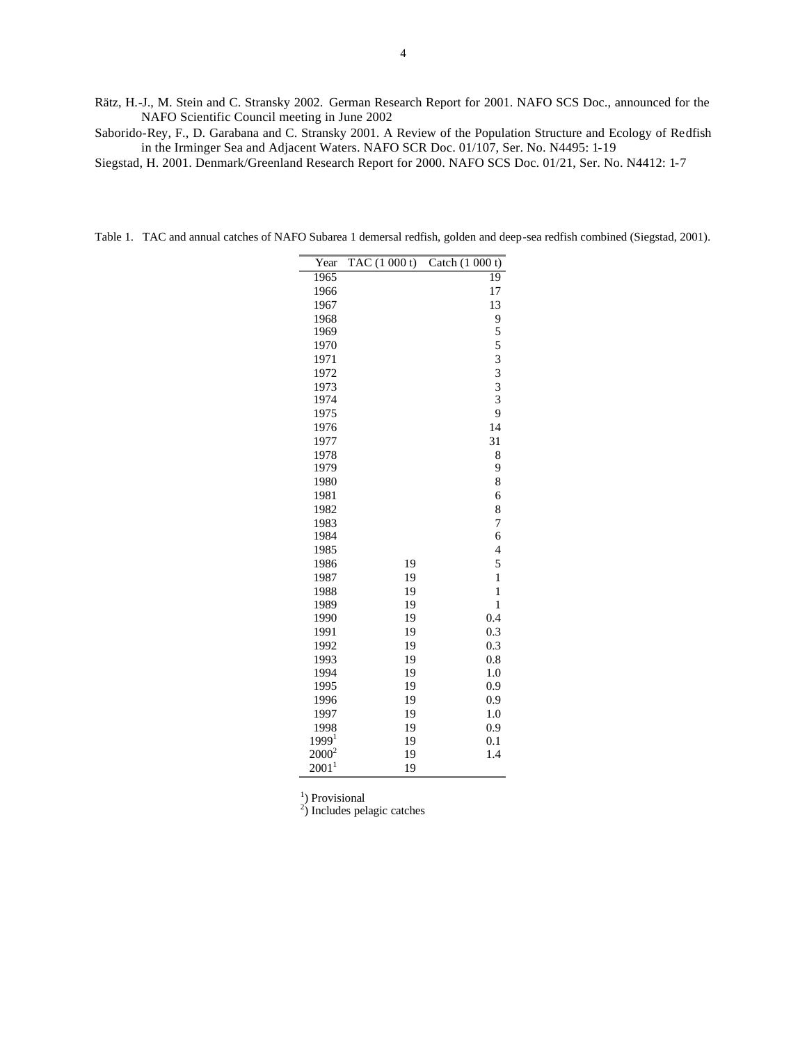Rätz, H.-J., M. Stein and C. Stransky 2002. German Research Report for 2001. NAFO SCS Doc., announced for the NAFO Scientific Council meeting in June 2002

Saborido-Rey, F., D. Garabana and C. Stransky 2001. A Review of the Population Structure and Ecology of Redfish in the Irminger Sea and Adjacent Waters. NAFO SCR Doc. 01/107, Ser. No. N4495: 1-19

Siegstad, H. 2001. Denmark/Greenland Research Report for 2000. NAFO SCS Doc. 01/21, Ser. No. N4412: 1-7

| Year                      | TAC(1000t) | Catch $(1 000 t)$       |
|---------------------------|------------|-------------------------|
| 1965                      |            | 19                      |
| 1966                      |            | 17                      |
| 1967                      |            | 13                      |
| 1968                      |            | 9                       |
| 1969                      |            | 5                       |
| 1970                      |            | 5                       |
| 1971                      |            | $\overline{\mathbf{3}}$ |
| 1972                      |            | $\overline{\mathbf{3}}$ |
| 1973                      |            | $\frac{3}{3}$           |
| 1974                      |            |                         |
| 1975                      |            | 9                       |
| 1976                      |            | 14                      |
| 1977                      |            | 31                      |
| 1978                      |            | 8                       |
| 1979                      |            | 9                       |
| 1980                      |            | 8                       |
| 1981                      |            | 6                       |
| 1982                      |            | 8                       |
| 1983                      |            | 7                       |
| 1984                      |            | 6                       |
| 1985                      |            | $\overline{4}$          |
| 1986                      | 19         | 5                       |
| 1987                      | 19         | $\mathbf{1}$            |
| 1988                      | 19         | $\mathbf{1}$            |
| 1989                      | 19         | 1                       |
| 1990                      | 19         | 0.4                     |
| 1991                      | 19         | 0.3                     |
| 1992                      | 19         | 0.3                     |
| 1993                      | 19         | 0.8                     |
| 1994                      | 19         | 1.0                     |
| 1995                      | 19         | 0.9                     |
| 1996                      | 19         | 0.9                     |
| 1997                      | 19         | 1.0                     |
| 1998<br>1999 <sup>1</sup> | 19<br>19   | 0.9<br>0.1              |
| $2000^2$                  | 19         | 1.4                     |
| $2001^1$                  | 19         |                         |
|                           |            |                         |

Table 1. TAC and annual catches of NAFO Subarea 1 demersal redfish, golden and deep-sea redfish combined (Siegstad, 2001).

<sup>1</sup>) Provisional<br><sup>2</sup>) Includes pelagic catches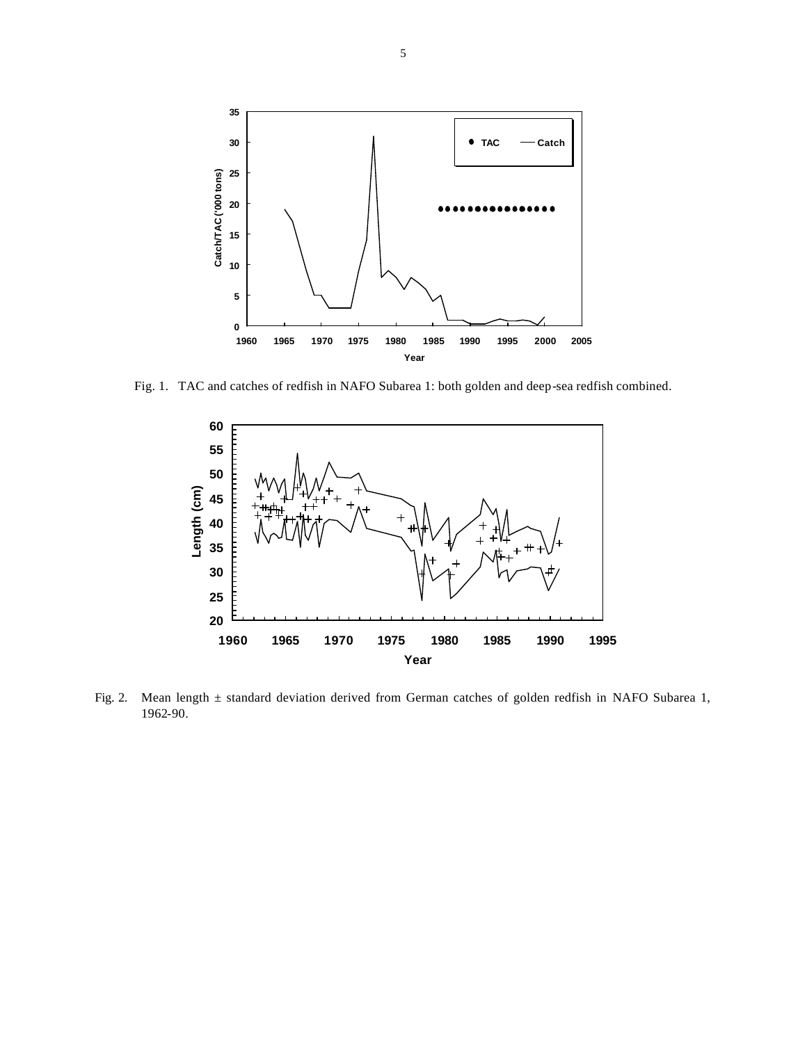

Fig. 1. TAC and catches of redfish in NAFO Subarea 1: both golden and deep-sea redfish combined.



Fig. 2. Mean length ± standard deviation derived from German catches of golden redfish in NAFO Subarea 1, 1962-90.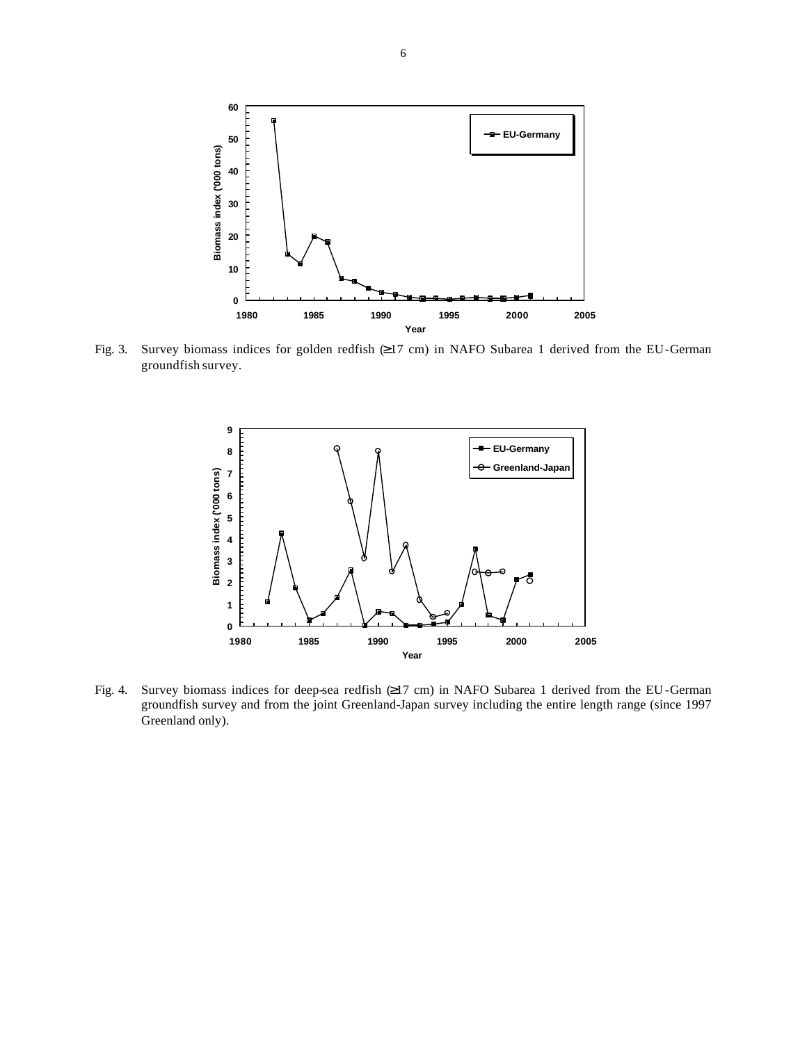

Fig. 3. Survey biomass indices for golden redfish (≥17 cm) in NAFO Subarea 1 derived from the EU-German groundfish survey.



Fig. 4. Survey biomass indices for deep-sea redfish (≥17 cm) in NAFO Subarea 1 derived from the EU -German groundfish survey and from the joint Greenland-Japan survey including the entire length range (since 1997 Greenland only).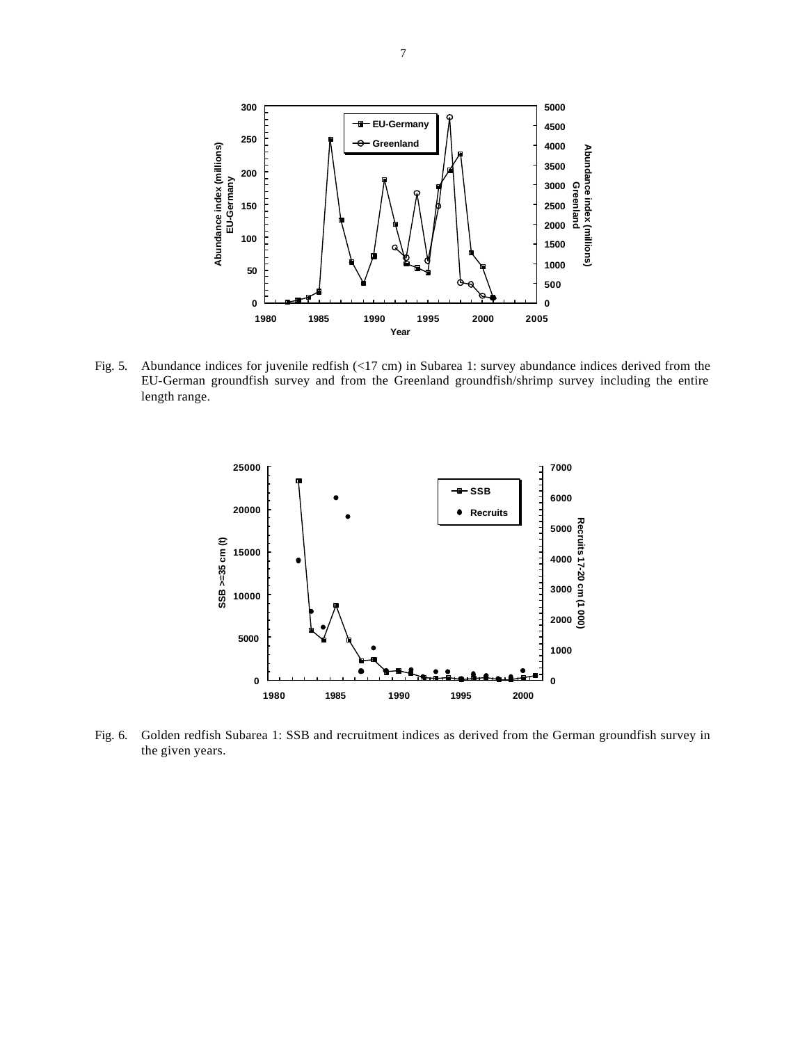

Fig. 5. Abundance indices for juvenile redfish (<17 cm) in Subarea 1: survey abundance indices derived from the EU-German groundfish survey and from the Greenland groundfish/shrimp survey including the entire length range.



Fig. 6. Golden redfish Subarea 1: SSB and recruitment indices as derived from the German groundfish survey in the given years.